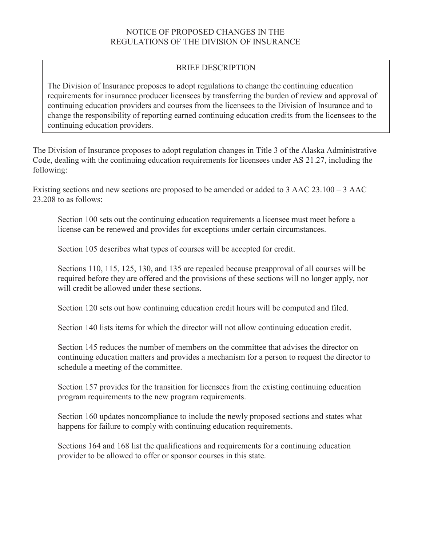# BRIEF DESCRIPTION

The Division of Insurance proposes to adopt regulations to change the continuing education requirements for insurance producer licensees by transferring the burden of review and approval of continuing education providers and courses from the licensees to the Division of Insurance and to change the responsibility of reporting earned continuing education credits from the licensees to the continuing education providers.

The Division of Insurance proposes to adopt regulation changes in Title 3 of the Alaska Administrative Code, dealing with the continuing education requirements for licensees under AS 21.27, including the following:

Existing sections and new sections are proposed to be amended or added to 3 AAC 23.100 – 3 AAC 23.208 to as follows:

Section 100 sets out the continuing education requirements a licensee must meet before a license can be renewed and provides for exceptions under certain circumstances.

Section 105 describes what types of courses will be accepted for credit.

Sections 110, 115, 125, 130, and 135 are repealed because preapproval of all courses will be required before they are offered and the provisions of these sections will no longer apply, nor will credit be allowed under these sections.

Section 120 sets out how continuing education credit hours will be computed and filed.

Section 140 lists items for which the director will not allow continuing education credit.

Section 145 reduces the number of members on the committee that advises the director on continuing education matters and provides a mechanism for a person to request the director to schedule a meeting of the committee.

Section 157 provides for the transition for licensees from the existing continuing education program requirements to the new program requirements.

Section 160 updates noncompliance to include the newly proposed sections and states what happens for failure to comply with continuing education requirements.

Sections 164 and 168 list the qualifications and requirements for a continuing education provider to be allowed to offer or sponsor courses in this state.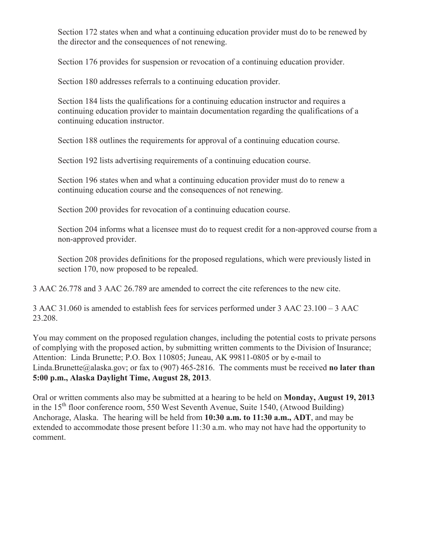Section 172 states when and what a continuing education provider must do to be renewed by the director and the consequences of not renewing.

Section 176 provides for suspension or revocation of a continuing education provider.

Section 180 addresses referrals to a continuing education provider.

Section 184 lists the qualifications for a continuing education instructor and requires a continuing education provider to maintain documentation regarding the qualifications of a continuing education instructor.

Section 188 outlines the requirements for approval of a continuing education course.

Section 192 lists advertising requirements of a continuing education course.

Section 196 states when and what a continuing education provider must do to renew a continuing education course and the consequences of not renewing.

Section 200 provides for revocation of a continuing education course.

Section 204 informs what a licensee must do to request credit for a non-approved course from a non-approved provider.

Section 208 provides definitions for the proposed regulations, which were previously listed in section 170, now proposed to be repealed.

3 AAC 26.778 and 3 AAC 26.789 are amended to correct the cite references to the new cite.

3 AAC 31.060 is amended to establish fees for services performed under 3 AAC 23.100 – 3 AAC 23.208.

You may comment on the proposed regulation changes, including the potential costs to private persons of complying with the proposed action, by submitting written comments to the Division of Insurance; Attention: Linda Brunette; P.O. Box 110805; Juneau, AK 99811-0805 or by e-mail to Linda.Brunette@alaska.gov; or fax to (907) 465-2816. The comments must be received **no later than 5:00 p.m., Alaska Daylight Time, August 28, 2013**.

Oral or written comments also may be submitted at a hearing to be held on **Monday, August 19, 2013** in the  $15<sup>th</sup>$  floor conference room, 550 West Seventh Avenue, Suite 1540, (Atwood Building) Anchorage, Alaska. The hearing will be held from **10:30 a.m. to 11:30 a.m., ADT**, and may be extended to accommodate those present before 11:30 a.m. who may not have had the opportunity to comment.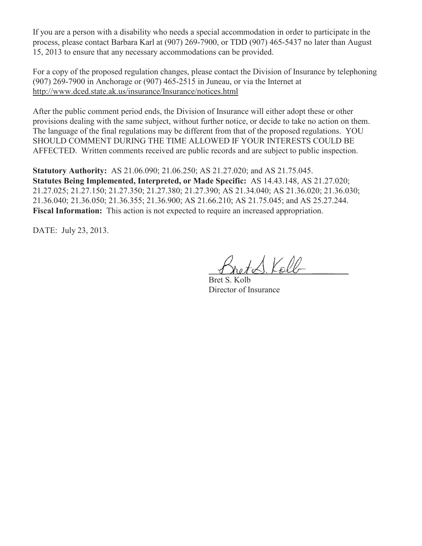If you are a person with a disability who needs a special accommodation in order to participate in the process, please contact Barbara Karl at (907) 269-7900, or TDD (907) 465-5437 no later than August 15, 2013 to ensure that any necessary accommodations can be provided.

For a copy of the proposed regulation changes, please contact the Division of Insurance by telephoning (907) 269-7900 in Anchorage or (907) 465-2515 in Juneau, or via the Internet at http://www.dced.state.ak.us/insurance/Insurance/notices.html

After the public comment period ends, the Division of Insurance will either adopt these or other provisions dealing with the same subject, without further notice, or decide to take no action on them. The language of the final regulations may be different from that of the proposed regulations. YOU SHOULD COMMENT DURING THE TIME ALLOWED IF YOUR INTERESTS COULD BE AFFECTED. Written comments received are public records and are subject to public inspection.

**Statutory Authority:** AS 21.06.090; 21.06.250; AS 21.27.020; and AS 21.75.045. **Statutes Being Implemented, Interpreted, or Made Specific:** AS 14.43.148, AS 21.27.020; 21.27.025; 21.27.150; 21.27.350; 21.27.380; 21.27.390; AS 21.34.040; AS 21.36.020; 21.36.030; 21.36.040; 21.36.050; 21.36.355; 21.36.900; AS 21.66.210; AS 21.75.045; and AS 25.27.244. **Fiscal Information:** This action is not expected to require an increased appropriation.

DATE: July 23, 2013.

 $\Lambda$  Kolb

Bret S. Kolb Director of Insurance